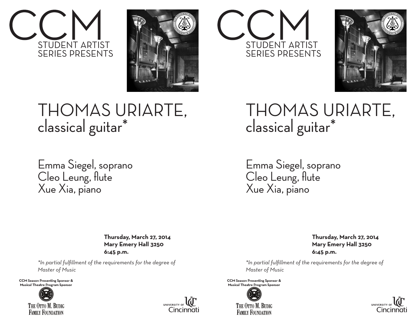



## THOMAS URIARTE, classical guitar\*

Emma Siegel, soprano Cleo Leung, flute Xue Xia, piano

> **Thursday, March 27, 2014 Mary Emery Hall 3250 6:45 p.m.**

*\*In partial fulfillment of the requirements for the degree of Master of Music*

**CCM Season Presenting Sponsor &** Musical Theatre Program Sponsor